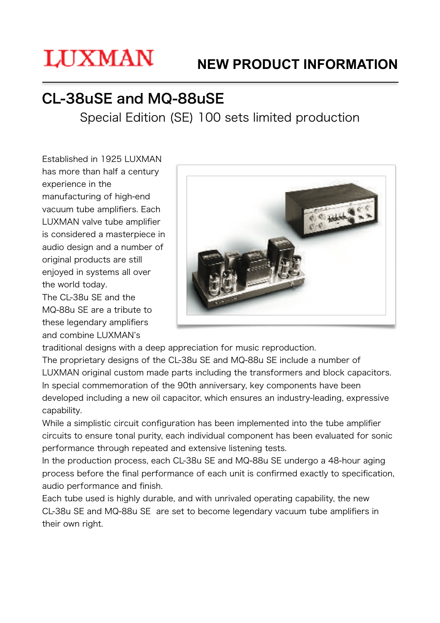# **LUXMAN**

# **NEW PRODUCT INFORMATION**

# CL-38uSE and MQ-88uSE

Special Edition (SE) 100 sets limited production

Established in 1925 LUXMAN has more than half a century experience in the manufacturing of high-end vacuum tube amplifiers. Each LUXMAN valve tube amplifier is considered a masterpiece in audio design and a number of original products are still enjoyed in systems all over the world today.

The CL-38u SE and the MQ-88u SE are a tribute to these legendary amplifiers and combine LUXMAN's



traditional designs with a deep appreciation for music reproduction.

The proprietary designs of the CL-38u SE and MQ-88u SE include a number of LUXMAN original custom made parts including the transformers and block capacitors. In special commemoration of the 90th anniversary, key components have been developed including a new oil capacitor, which ensures an industry-leading, expressive capability.

While a simplistic circuit configuration has been implemented into the tube amplifier circuits to ensure tonal purity, each individual component has been evaluated for sonic performance through repeated and extensive listening tests.

In the production process, each CL-38u SE and MQ-88u SE undergo a 48-hour aging process before the final performance of each unit is confirmed exactly to specification, audio performance and finish.

Each tube used is highly durable, and with unrivaled operating capability, the new CL-38u SE and MQ-88u SE are set to become legendary vacuum tube amplifiers in their own right.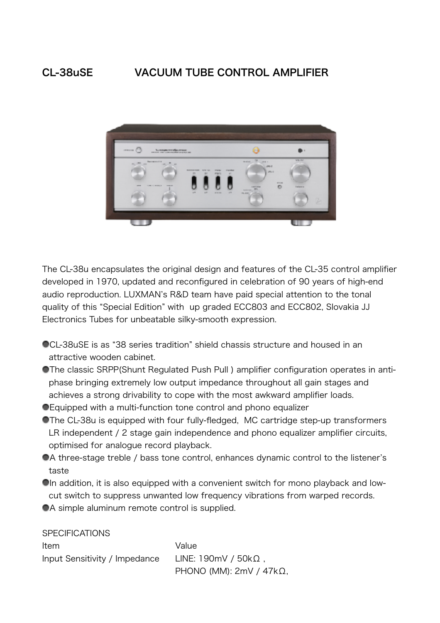### CL-38uSE VACUUM TUBE CONTROL AMPLIFIER



The CL-38u encapsulates the original design and features of the CL-35 control amplifier developed in 1970, updated and reconfigured in celebration of 90 years of high-end audio reproduction. LUXMAN's R&D team have paid special attention to the tonal quality of this "Special Edition" with up graded ECC803 and ECC802, Slovakia JJ Electronics Tubes for unbeatable silky-smooth expression.

- CL-38uSE is as "38 series tradition" shield chassis structure and housed in an attractive wooden cabinet.
- The classic SRPP(Shunt Regulated Push Pull ) amplifier configuration operates in antiphase bringing extremely low output impedance throughout all gain stages and achieves a strong drivability to cope with the most awkward amplifier loads.
- Equipped with a multi-function tone control and phono equalizer
- The CL-38u is equipped with four fully-fledged, MC cartridge step-up transformers LR independent / 2 stage gain independence and phono equalizer amplifier circuits, optimised for analogue record playback.
- A three-stage treble / bass tone control, enhances dynamic control to the listener's taste
- In addition, it is also equipped with a convenient switch for mono playback and lowcut switch to suppress unwanted low frequency vibrations from warped records.
- A simple aluminum remote control is supplied.

**SPECIFICATIONS** 

Item Value Input Sensitivity / Impedance LINE: 190mV / 50kΩ , PHONO (MM): 2mV / 47kΩ,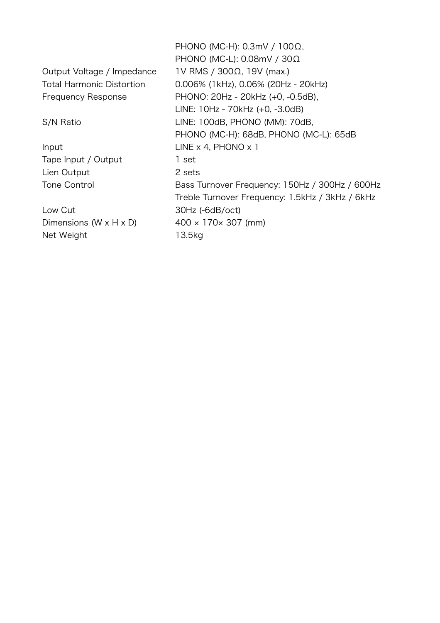|                                      | PHONO (MC-H): $0.3$ mV / $100\Omega$ ,          |
|--------------------------------------|-------------------------------------------------|
|                                      | PHONO (MC-L): 0.08mV / 30Ω                      |
| Output Voltage / Impedance           | IV RMS / 300Ω, 19V (max.)                       |
| <b>Total Harmonic Distortion</b>     | 0.006% (1kHz), 0.06% (20Hz - 20kHz)             |
| <b>Frequency Response</b>            | PHONO: 20Hz - 20kHz (+0, -0.5dB),               |
|                                      | LINE: 10Hz - 70kHz (+0, -3.0dB)                 |
| S/N Ratio                            | LINE: 100dB, PHONO (MM): 70dB,                  |
|                                      | PHONO (MC-H): 68dB, PHONO (MC-L): 65dB          |
| Input                                | LINE $\times$ 4, PHONO $\times$ 1               |
| Tape Input / Output                  | 1 set                                           |
| Lien Output                          | 2 sets                                          |
| <b>Tone Control</b>                  | Bass Turnover Frequency: 150Hz / 300Hz / 600Hz  |
|                                      | Treble Turnover Frequency: 1.5kHz / 3kHz / 6kHz |
| Low Cut                              | $30Hz$ (-6dB/oct)                               |
| Dimensions (W $\times$ H $\times$ D) | $400 \times 170 \times 307$ (mm)                |
| Net Weight                           | 13.5kg                                          |
|                                      |                                                 |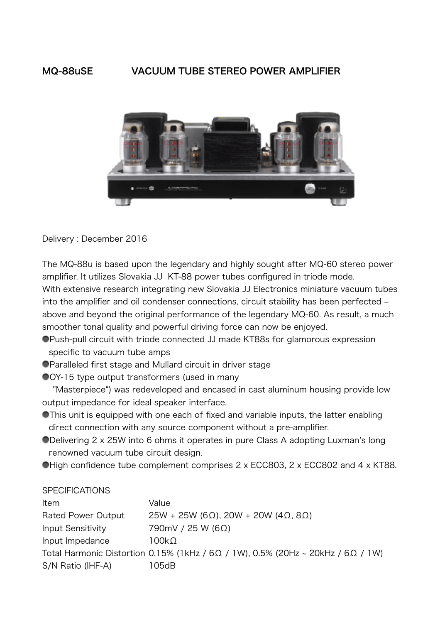### MQ-88uSE VACUUM TUBE STEREO POWER AMPLIFIER



Delivery : December 2016

The MQ-88u is based upon the legendary and highly sought after MQ-60 stereo power amplifier. It utilizes Slovakia JJ KT-88 power tubes configured in triode mode. With extensive research integrating new Slovakia JJ Electronics miniature vacuum tubes into the amplifier and oil condenser connections, circuit stability has been perfected above and beyond the original performance of the legendary MQ-60. As result, a much smoother tonal quality and powerful driving force can now be enjoyed.

- Push-pull circuit with triode connected JJ made KT88s for glamorous expression specific to vacuum tube amps
- Paralleled first stage and Mullard circuit in driver stage
- OY-15 type output transformers (used in many

 "Masterpiece") was redeveloped and encased in cast aluminum housing provide low output impedance for ideal speaker interface.

- **This unit is equipped with one each of fixed and variable inputs, the latter enabling** direct connection with any source component without a pre-amplifier.
- Delivering 2 x 25W into 6 ohms it operates in pure Class A adopting Luxman's long renowned vacuum tube circuit design.
- High confidence tube complement comprises 2 x ECC803, 2 x ECC802 and 4 x KT88.

| <b>SPECIFICATIONS</b>     |                                                                                                 |
|---------------------------|-------------------------------------------------------------------------------------------------|
| Item                      | Value                                                                                           |
| <b>Rated Power Output</b> | $25W + 25W$ (6 $\Omega$ ), 20W + 20W (4 $\Omega$ , 8 $\Omega$ )                                 |
| <b>Input Sensitivity</b>  | $790mV / 25 W (6\Omega)$                                                                        |
| Input Impedance           | 100kΩ                                                                                           |
|                           | Total Harmonic Distortion 0.15% (1kHz / 6 $\Omega$ / 1W), 0.5% (20Hz ~ 20kHz / 6 $\Omega$ / 1W) |
| S/N Ratio (IHF-A)         | 105dB                                                                                           |
|                           |                                                                                                 |